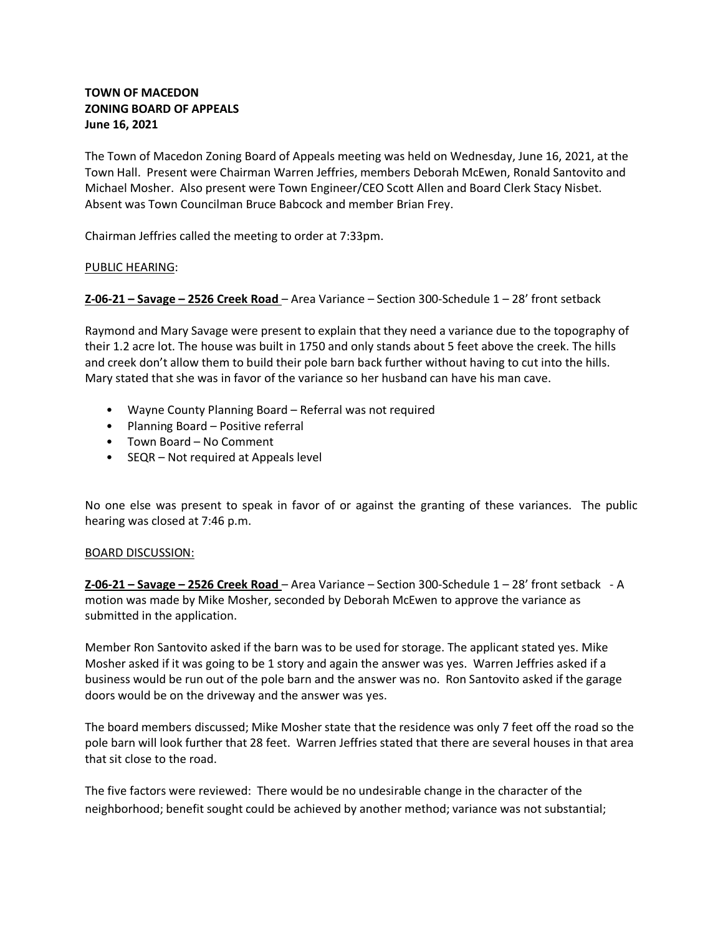# **TOWN OF MACEDON ZONING BOARD OF APPEALS June 16, 2021**

The Town of Macedon Zoning Board of Appeals meeting was held on Wednesday, June 16, 2021, at the Town Hall. Present were Chairman Warren Jeffries, members Deborah McEwen, Ronald Santovito and Michael Mosher. Also present were Town Engineer/CEO Scott Allen and Board Clerk Stacy Nisbet. Absent was Town Councilman Bruce Babcock and member Brian Frey.

Chairman Jeffries called the meeting to order at 7:33pm.

## PUBLIC HEARING:

**Z-06-21 – Savage – 2526 Creek Road** – Area Variance – Section 300-Schedule 1 – 28' front setback

Raymond and Mary Savage were present to explain that they need a variance due to the topography of their 1.2 acre lot. The house was built in 1750 and only stands about 5 feet above the creek. The hills and creek don't allow them to build their pole barn back further without having to cut into the hills. Mary stated that she was in favor of the variance so her husband can have his man cave.

- Wayne County Planning Board Referral was not required
- Planning Board Positive referral
- Town Board No Comment
- SEQR Not required at Appeals level

No one else was present to speak in favor of or against the granting of these variances. The public hearing was closed at 7:46 p.m.

#### BOARD DISCUSSION:

**Z-06-21 – Savage – 2526 Creek Road** – Area Variance – Section 300-Schedule 1 – 28' front setback - A motion was made by Mike Mosher, seconded by Deborah McEwen to approve the variance as submitted in the application.

Member Ron Santovito asked if the barn was to be used for storage. The applicant stated yes. Mike Mosher asked if it was going to be 1 story and again the answer was yes. Warren Jeffries asked if a business would be run out of the pole barn and the answer was no. Ron Santovito asked if the garage doors would be on the driveway and the answer was yes.

The board members discussed; Mike Mosher state that the residence was only 7 feet off the road so the pole barn will look further that 28 feet. Warren Jeffries stated that there are several houses in that area that sit close to the road.

The five factors were reviewed: There would be no undesirable change in the character of the neighborhood; benefit sought could be achieved by another method; variance was not substantial;